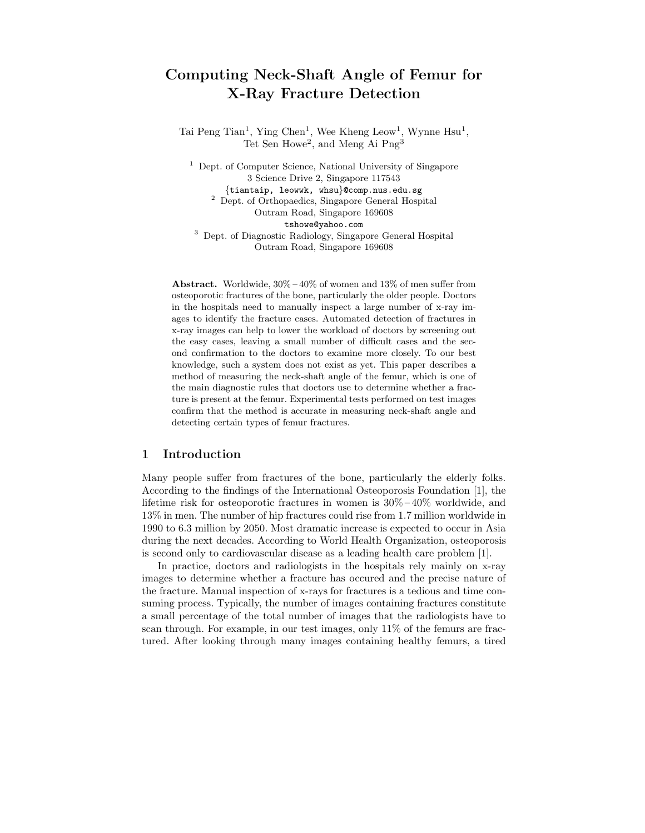# Computing Neck-Shaft Angle of Femur for X-Ray Fracture Detection

Tai Peng Tian<sup>1</sup>, Ying Chen<sup>1</sup>, Wee Kheng Leow<sup>1</sup>, Wynne Hsu<sup>1</sup>, Tet Sen Howe<sup>2</sup>, and Meng Ai Png<sup>3</sup>

<sup>1</sup> Dept. of Computer Science, National University of Singapore 3 Science Drive 2, Singapore 117543 {tiantaip, leowwk, whsu}@comp.nus.edu.sg <sup>2</sup> Dept. of Orthopaedics, Singapore General Hospital Outram Road, Singapore 169608 tshowe@yahoo.com <sup>3</sup> Dept. of Diagnostic Radiology, Singapore General Hospital Outram Road, Singapore 169608

**Abstract.** Worldwide,  $30\% - 40\%$  of women and  $13\%$  of men suffer from osteoporotic fractures of the bone, particularly the older people. Doctors in the hospitals need to manually inspect a large number of x-ray images to identify the fracture cases. Automated detection of fractures in x-ray images can help to lower the workload of doctors by screening out the easy cases, leaving a small number of difficult cases and the second confirmation to the doctors to examine more closely. To our best knowledge, such a system does not exist as yet. This paper describes a method of measuring the neck-shaft angle of the femur, which is one of the main diagnostic rules that doctors use to determine whether a fracture is present at the femur. Experimental tests performed on test images confirm that the method is accurate in measuring neck-shaft angle and detecting certain types of femur fractures.

### 1 Introduction

Many people suffer from fractures of the bone, particularly the elderly folks. According to the findings of the International Osteoporosis Foundation [1], the lifetime risk for osteoporotic fractures in women is 30% – 40% worldwide, and 13% in men. The number of hip fractures could rise from 1.7 million worldwide in 1990 to 6.3 million by 2050. Most dramatic increase is expected to occur in Asia during the next decades. According to World Health Organization, osteoporosis is second only to cardiovascular disease as a leading health care problem [1].

In practice, doctors and radiologists in the hospitals rely mainly on x-ray images to determine whether a fracture has occured and the precise nature of the fracture. Manual inspection of x-rays for fractures is a tedious and time consuming process. Typically, the number of images containing fractures constitute a small percentage of the total number of images that the radiologists have to scan through. For example, in our test images, only 11% of the femurs are fractured. After looking through many images containing healthy femurs, a tired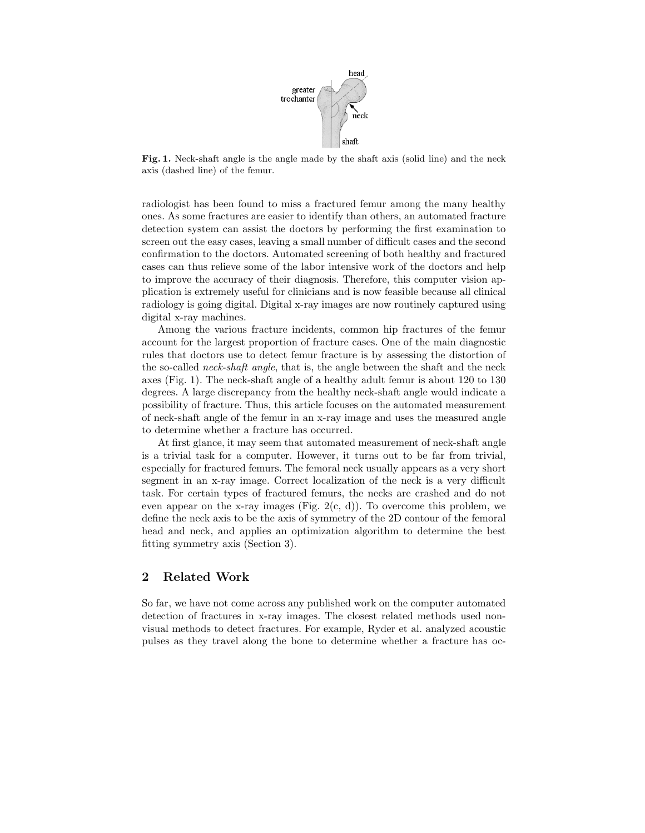

Fig. 1. Neck-shaft angle is the angle made by the shaft axis (solid line) and the neck axis (dashed line) of the femur.

radiologist has been found to miss a fractured femur among the many healthy ones. As some fractures are easier to identify than others, an automated fracture detection system can assist the doctors by performing the first examination to screen out the easy cases, leaving a small number of difficult cases and the second confirmation to the doctors. Automated screening of both healthy and fractured cases can thus relieve some of the labor intensive work of the doctors and help to improve the accuracy of their diagnosis. Therefore, this computer vision application is extremely useful for clinicians and is now feasible because all clinical radiology is going digital. Digital x-ray images are now routinely captured using digital x-ray machines.

Among the various fracture incidents, common hip fractures of the femur account for the largest proportion of fracture cases. One of the main diagnostic rules that doctors use to detect femur fracture is by assessing the distortion of the so-called *neck-shaft angle*, that is, the angle between the shaft and the neck axes (Fig. 1). The neck-shaft angle of a healthy adult femur is about 120 to 130 degrees. A large discrepancy from the healthy neck-shaft angle would indicate a possibility of fracture. Thus, this article focuses on the automated measurement of neck-shaft angle of the femur in an x-ray image and uses the measured angle to determine whether a fracture has occurred.

At first glance, it may seem that automated measurement of neck-shaft angle is a trivial task for a computer. However, it turns out to be far from trivial, especially for fractured femurs. The femoral neck usually appears as a very short segment in an x-ray image. Correct localization of the neck is a very difficult task. For certain types of fractured femurs, the necks are crashed and do not even appear on the x-ray images (Fig.  $2(c, d)$ ). To overcome this problem, we define the neck axis to be the axis of symmetry of the 2D contour of the femoral head and neck, and applies an optimization algorithm to determine the best fitting symmetry axis (Section 3).

# 2 Related Work

So far, we have not come across any published work on the computer automated detection of fractures in x-ray images. The closest related methods used nonvisual methods to detect fractures. For example, Ryder et al. analyzed acoustic pulses as they travel along the bone to determine whether a fracture has oc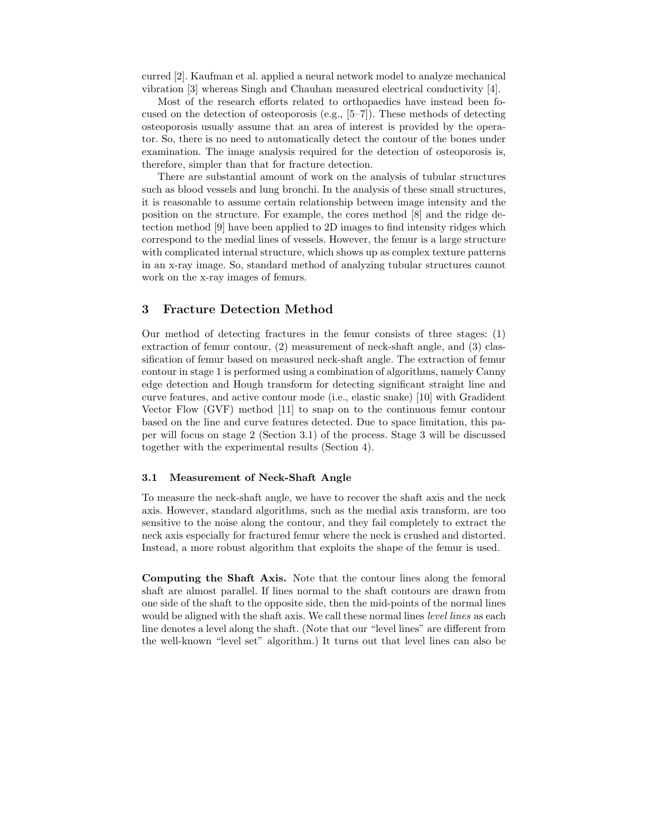curred [2]. Kaufman et al. applied a neural network model to analyze mechanical vibration [3] whereas Singh and Chauhan measured electrical conductivity [4].

Most of the research efforts related to orthopaedics have instead been focused on the detection of osteoporosis (e.g., [5–7]). These methods of detecting osteoporosis usually assume that an area of interest is provided by the operator. So, there is no need to automatically detect the contour of the bones under examination. The image analysis required for the detection of osteoporosis is, therefore, simpler than that for fracture detection.

There are substantial amount of work on the analysis of tubular structures such as blood vessels and lung bronchi. In the analysis of these small structures, it is reasonable to assume certain relationship between image intensity and the position on the structure. For example, the cores method [8] and the ridge detection method [9] have been applied to 2D images to find intensity ridges which correspond to the medial lines of vessels. However, the femur is a large structure with complicated internal structure, which shows up as complex texture patterns in an x-ray image. So, standard method of analyzing tubular structures cannot work on the x-ray images of femurs.

## 3 Fracture Detection Method

Our method of detecting fractures in the femur consists of three stages: (1) extraction of femur contour, (2) measurement of neck-shaft angle, and (3) classification of femur based on measured neck-shaft angle. The extraction of femur contour in stage 1 is performed using a combination of algorithms, namely Canny edge detection and Hough transform for detecting significant straight line and curve features, and active contour mode (i.e., elastic snake) [10] with Gradident Vector Flow (GVF) method [11] to snap on to the continuous femur contour based on the line and curve features detected. Due to space limitation, this paper will focus on stage 2 (Section 3.1) of the process. Stage 3 will be discussed together with the experimental results (Section 4).

#### 3.1 Measurement of Neck-Shaft Angle

To measure the neck-shaft angle, we have to recover the shaft axis and the neck axis. However, standard algorithms, such as the medial axis transform, are too sensitive to the noise along the contour, and they fail completely to extract the neck axis especially for fractured femur where the neck is crushed and distorted. Instead, a more robust algorithm that exploits the shape of the femur is used.

Computing the Shaft Axis. Note that the contour lines along the femoral shaft are almost parallel. If lines normal to the shaft contours are drawn from one side of the shaft to the opposite side, then the mid-points of the normal lines would be aligned with the shaft axis. We call these normal lines *level lines* as each line denotes a level along the shaft. (Note that our "level lines" are different from the well-known "level set" algorithm.) It turns out that level lines can also be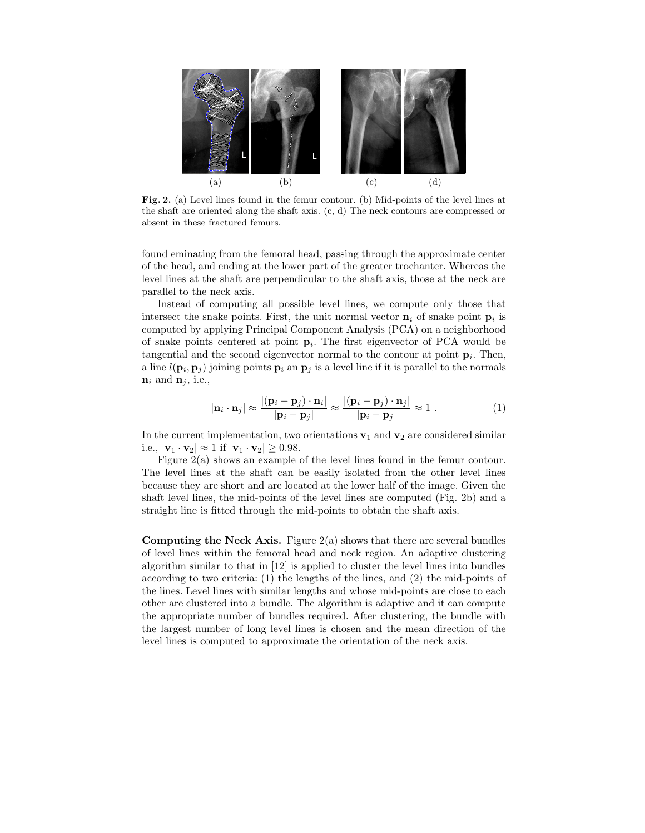

Fig. 2. (a) Level lines found in the femur contour. (b) Mid-points of the level lines at the shaft are oriented along the shaft axis. (c, d) The neck contours are compressed or absent in these fractured femurs.

found eminating from the femoral head, passing through the approximate center of the head, and ending at the lower part of the greater trochanter. Whereas the level lines at the shaft are perpendicular to the shaft axis, those at the neck are parallel to the neck axis.

Instead of computing all possible level lines, we compute only those that intersect the snake points. First, the unit normal vector  $\mathbf{n}_i$  of snake point  $\mathbf{p}_i$  is computed by applying Principal Component Analysis (PCA) on a neighborhood of snake points centered at point  $\mathbf{p}_i$ . The first eigenvector of PCA would be tangential and the second eigenvector normal to the contour at point  $\mathbf{p}_i$ . Then, a line  $l(\mathbf{p}_i, \mathbf{p}_j)$  joining points  $\mathbf{p}_i$  an  $\mathbf{p}_j$  is a level line if it is parallel to the normals  $n_i$  and  $n_j$ , i.e.,

$$
|\mathbf{n}_i \cdot \mathbf{n}_j| \approx \frac{|(\mathbf{p}_i - \mathbf{p}_j) \cdot \mathbf{n}_i|}{|\mathbf{p}_i - \mathbf{p}_j|} \approx \frac{|(\mathbf{p}_i - \mathbf{p}_j) \cdot \mathbf{n}_j|}{|\mathbf{p}_i - \mathbf{p}_j|} \approx 1.
$$
 (1)

In the current implementation, two orientations  $v_1$  and  $v_2$  are considered similar i.e.,  $|\mathbf{v}_1 \cdot \mathbf{v}_2| \approx 1$  if  $|\mathbf{v}_1 \cdot \mathbf{v}_2| \ge 0.98$ .

Figure 2(a) shows an example of the level lines found in the femur contour. The level lines at the shaft can be easily isolated from the other level lines because they are short and are located at the lower half of the image. Given the shaft level lines, the mid-points of the level lines are computed (Fig. 2b) and a straight line is fitted through the mid-points to obtain the shaft axis.

Computing the Neck Axis. Figure 2(a) shows that there are several bundles of level lines within the femoral head and neck region. An adaptive clustering algorithm similar to that in [12] is applied to cluster the level lines into bundles according to two criteria: (1) the lengths of the lines, and (2) the mid-points of the lines. Level lines with similar lengths and whose mid-points are close to each other are clustered into a bundle. The algorithm is adaptive and it can compute the appropriate number of bundles required. After clustering, the bundle with the largest number of long level lines is chosen and the mean direction of the level lines is computed to approximate the orientation of the neck axis.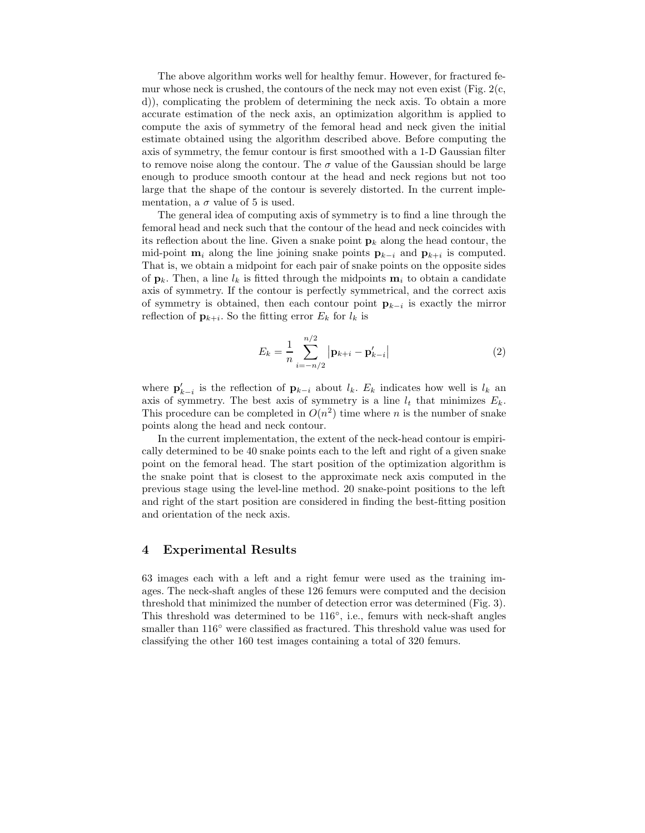The above algorithm works well for healthy femur. However, for fractured femur whose neck is crushed, the contours of the neck may not even exist (Fig.  $2(c,$ d)), complicating the problem of determining the neck axis. To obtain a more accurate estimation of the neck axis, an optimization algorithm is applied to compute the axis of symmetry of the femoral head and neck given the initial estimate obtained using the algorithm described above. Before computing the axis of symmetry, the femur contour is first smoothed with a 1-D Gaussian filter to remove noise along the contour. The  $\sigma$  value of the Gaussian should be large enough to produce smooth contour at the head and neck regions but not too large that the shape of the contour is severely distorted. In the current implementation, a  $\sigma$  value of 5 is used.

The general idea of computing axis of symmetry is to find a line through the femoral head and neck such that the contour of the head and neck coincides with its reflection about the line. Given a snake point  $\mathbf{p}_k$  along the head contour, the mid-point  $\mathbf{m}_i$  along the line joining snake points  $\mathbf{p}_{k-i}$  and  $\mathbf{p}_{k+i}$  is computed. That is, we obtain a midpoint for each pair of snake points on the opposite sides of  $\mathbf{p}_k$ . Then, a line  $l_k$  is fitted through the midpoints  $\mathbf{m}_i$  to obtain a candidate axis of symmetry. If the contour is perfectly symmetrical, and the correct axis of symmetry is obtained, then each contour point  $\mathbf{p}_{k-i}$  is exactly the mirror reflection of  $\mathbf{p}_{k+i}$ . So the fitting error  $E_k$  for  $l_k$  is

$$
E_k = \frac{1}{n} \sum_{i=-n/2}^{n/2} |\mathbf{p}_{k+i} - \mathbf{p}'_{k-i}|
$$
 (2)

where  $\mathbf{p}'_{k-i}$  is the reflection of  $\mathbf{p}_{k-i}$  about  $l_k$ .  $E_k$  indicates how well is  $l_k$  and axis of symmetry. The best axis of symmetry is a line  $l_t$  that minimizes  $E_k$ . This procedure can be completed in  $O(n^2)$  time where n is the number of snake points along the head and neck contour.

In the current implementation, the extent of the neck-head contour is empirically determined to be 40 snake points each to the left and right of a given snake point on the femoral head. The start position of the optimization algorithm is the snake point that is closest to the approximate neck axis computed in the previous stage using the level-line method. 20 snake-point positions to the left and right of the start position are considered in finding the best-fitting position and orientation of the neck axis.

## 4 Experimental Results

63 images each with a left and a right femur were used as the training images. The neck-shaft angles of these 126 femurs were computed and the decision threshold that minimized the number of detection error was determined (Fig. 3). This threshold was determined to be 116<sup>°</sup>, i.e., femurs with neck-shaft angles smaller than  $116°$  were classified as fractured. This threshold value was used for classifying the other 160 test images containing a total of 320 femurs.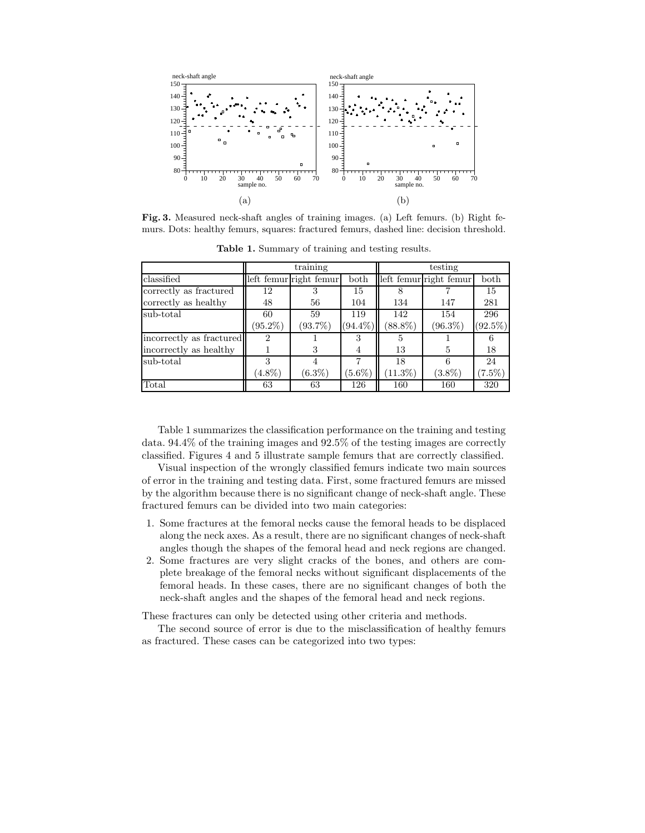

Fig. 3. Measured neck-shaft angles of training images. (a) Left femurs. (b) Right femurs. Dots: healthy femurs, squares: fractured femurs, dashed line: decision threshold.

|                          | training       |                        |            | testing    |                        |            |
|--------------------------|----------------|------------------------|------------|------------|------------------------|------------|
| classified               |                | left femur right femur | both       |            | left femur right femur | both       |
| correctly as fractured   | 12             |                        | 15         |            |                        | 15         |
| correctly as healthy     | 48             | 56                     | 104        | 134        | 147                    | 281        |
| sub-total                | 60             | 59                     | 119        | 142        | 154                    | 296        |
|                          | $(95.2\%)$     | $(93.7\%)$             | $(94.4\%)$ | $(88.8\%)$ | $(96.3\%)$             | $(92.5\%)$ |
| incorrectly as fractured | $\overline{2}$ |                        | 3          | 5          |                        |            |
| incorrectly as healthy   |                |                        | 4          | 13         | 5                      | 18         |
| sub-total                | 3              | 4                      |            | 18         | 6                      | 24         |
|                          | $(4.8\%)$      | $(6.3\%)$              | $(5.6\%)$  | $11.3\%$   | $(3.8\%)$              | $(7.5\%)$  |
| Total                    | 63             | 63                     | 126        | 160        | 160                    | 320        |

Table 1. Summary of training and testing results.

Table 1 summarizes the classification performance on the training and testing data. 94.4% of the training images and 92.5% of the testing images are correctly classified. Figures 4 and 5 illustrate sample femurs that are correctly classified.

Visual inspection of the wrongly classified femurs indicate two main sources of error in the training and testing data. First, some fractured femurs are missed by the algorithm because there is no significant change of neck-shaft angle. These fractured femurs can be divided into two main categories:

- 1. Some fractures at the femoral necks cause the femoral heads to be displaced along the neck axes. As a result, there are no significant changes of neck-shaft angles though the shapes of the femoral head and neck regions are changed.
- 2. Some fractures are very slight cracks of the bones, and others are complete breakage of the femoral necks without significant displacements of the femoral heads. In these cases, there are no significant changes of both the neck-shaft angles and the shapes of the femoral head and neck regions.

These fractures can only be detected using other criteria and methods.

The second source of error is due to the misclassification of healthy femurs as fractured. These cases can be categorized into two types: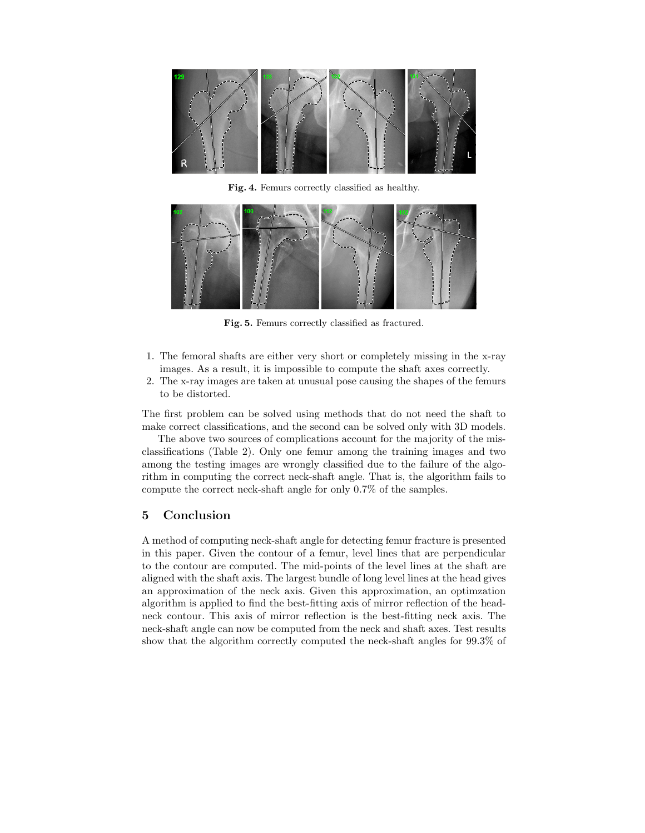

Fig. 4. Femurs correctly classified as healthy.



Fig. 5. Femurs correctly classified as fractured.

- 1. The femoral shafts are either very short or completely missing in the x-ray images. As a result, it is impossible to compute the shaft axes correctly.
- 2. The x-ray images are taken at unusual pose causing the shapes of the femurs to be distorted.

The first problem can be solved using methods that do not need the shaft to make correct classifications, and the second can be solved only with 3D models.

The above two sources of complications account for the majority of the misclassifications (Table 2). Only one femur among the training images and two among the testing images are wrongly classified due to the failure of the algorithm in computing the correct neck-shaft angle. That is, the algorithm fails to compute the correct neck-shaft angle for only 0.7% of the samples.

## 5 Conclusion

A method of computing neck-shaft angle for detecting femur fracture is presented in this paper. Given the contour of a femur, level lines that are perpendicular to the contour are computed. The mid-points of the level lines at the shaft are aligned with the shaft axis. The largest bundle of long level lines at the head gives an approximation of the neck axis. Given this approximation, an optimzation algorithm is applied to find the best-fitting axis of mirror reflection of the headneck contour. This axis of mirror reflection is the best-fitting neck axis. The neck-shaft angle can now be computed from the neck and shaft axes. Test results show that the algorithm correctly computed the neck-shaft angles for 99.3% of